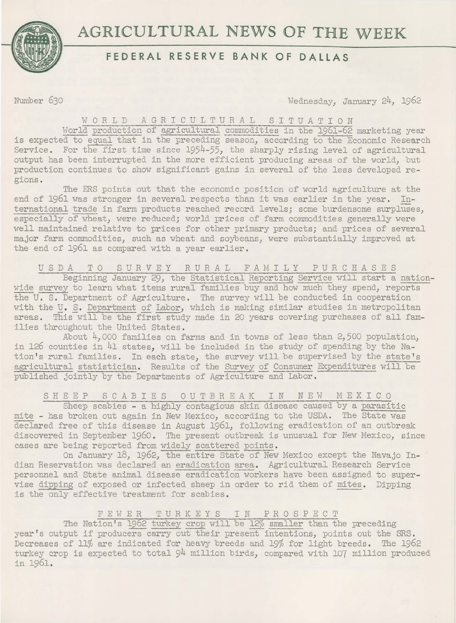

# **AGRICULTURAL NEWS OF THE WEEK**

### **FEDERAL RESERVE BANK OF DALLAS**

Number 630 Wednesday, January 24, 1962

## WORLD AGRICULTURAL SITUATION

World production of agricultural commodities in the 1961-62 marketing year is expected to equal that in the preceding season, according to the Economic Research Service. For the first time since 1954-55, the sharply rising level of agricultural output has been interrupted in the more efficient producing areas of the world, but production continues to show significant gains in several of the less developed regions.

The ERS points out that the economic position of world agriculture at the end of 1961 was stronger in several respects than it was earlier in the year. International trade in farm products reached record levels; some burdensome surpluses, especially of wheat, were reduced; world prices of farm commodities generally were well maintained relative to prices for other primary products; and prices of several major farm commodities, such as wheat and soybeans, were substantially improved at the end of 1961 as compared with a year earlier.

USDA TO SURVEY RURAL FAMILY PURCHASES

Beginning January 29, the Statistical Reporting Service will start a nationwide survey to learn what items rural families buy and how much they spend, reports the U. S. Department of Agriculture. The survey will be conducted in cooperation with the U. S. Department of Labor, which is making similar studies in metropolitan areas. This will be the first study made in 20 years covering purchases of all families throughout the United States.

About 4,000 families on farms and in towns of less than 2,500 population. in 126 counties in 41 states, will be included in the study of spending by the Nation's rural families. In each state, the survey will be supervised by the state's agricultural statistician. Results of the Survey of Consumer Expenditures will be published jointly by the Departments of Agriculture and Labor.

SHEEP SCABIES OUTBREAK IN NEW MEXICO

Sheep scabies - a highly contagious skin disease caused by a parasitic mite - has broken out again in New Mexico, according to the USDA. The State was declared free of this disease in August 1961, following eradication of an outbreak discovered in September 1960. The present outbreak is unusual for New Mexico, since cases are being reported from widely scattered points.

On January 18, 1962, the entire State of New Mexico except the Navajo Indian Reservation was declared an eradication area. Agricultural Research Service personnel and State animal disease eradication workers have been assigned to supervise dipping of exposed or infected sheep in order to rid them of mites. Dipping is the only effective treatment for scabies.

#### FEWER TURKEYS IN PROSPECT

The Nation's 1962 turkey crop will be 12% smaller than the preceding year's output if producers carry out their present intentions, points out the SRS. Decreases of 11% are indicated for heavy breeds and 19% for light breeds. The 1962 turkey crop is expected to total 94 million birds, compared with 107 million produced in 1961.